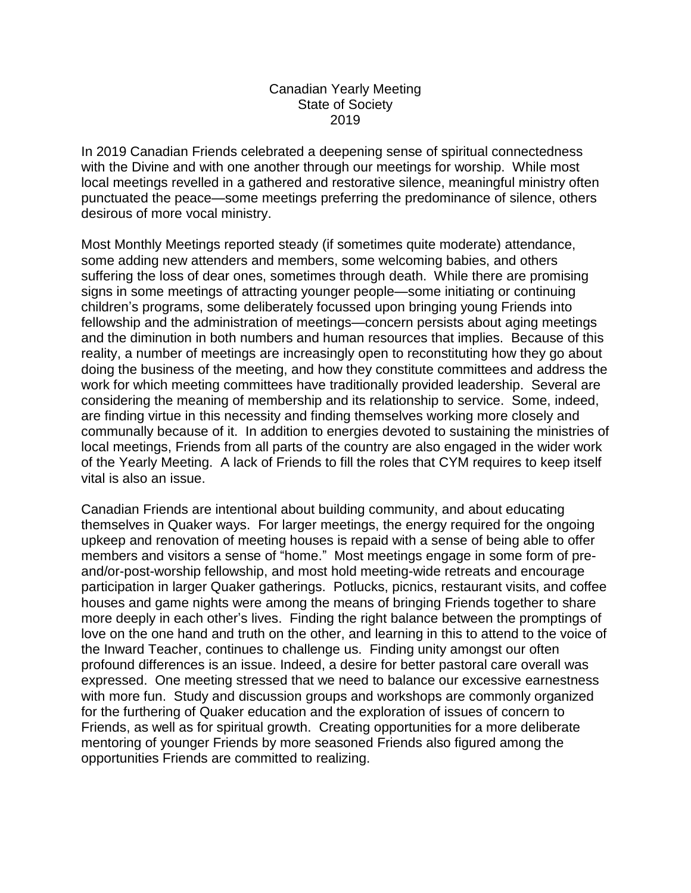## Canadian Yearly Meeting State of Society 2019

In 2019 Canadian Friends celebrated a deepening sense of spiritual connectedness with the Divine and with one another through our meetings for worship. While most local meetings revelled in a gathered and restorative silence, meaningful ministry often punctuated the peace—some meetings preferring the predominance of silence, others desirous of more vocal ministry.

Most Monthly Meetings reported steady (if sometimes quite moderate) attendance, some adding new attenders and members, some welcoming babies, and others suffering the loss of dear ones, sometimes through death. While there are promising signs in some meetings of attracting younger people—some initiating or continuing children's programs, some deliberately focussed upon bringing young Friends into fellowship and the administration of meetings—concern persists about aging meetings and the diminution in both numbers and human resources that implies. Because of this reality, a number of meetings are increasingly open to reconstituting how they go about doing the business of the meeting, and how they constitute committees and address the work for which meeting committees have traditionally provided leadership. Several are considering the meaning of membership and its relationship to service. Some, indeed, are finding virtue in this necessity and finding themselves working more closely and communally because of it. In addition to energies devoted to sustaining the ministries of local meetings, Friends from all parts of the country are also engaged in the wider work of the Yearly Meeting. A lack of Friends to fill the roles that CYM requires to keep itself vital is also an issue.

Canadian Friends are intentional about building community, and about educating themselves in Quaker ways. For larger meetings, the energy required for the ongoing upkeep and renovation of meeting houses is repaid with a sense of being able to offer members and visitors a sense of "home." Most meetings engage in some form of preand/or-post-worship fellowship, and most hold meeting-wide retreats and encourage participation in larger Quaker gatherings. Potlucks, picnics, restaurant visits, and coffee houses and game nights were among the means of bringing Friends together to share more deeply in each other's lives. Finding the right balance between the promptings of love on the one hand and truth on the other, and learning in this to attend to the voice of the Inward Teacher, continues to challenge us. Finding unity amongst our often profound differences is an issue. Indeed, a desire for better pastoral care overall was expressed. One meeting stressed that we need to balance our excessive earnestness with more fun. Study and discussion groups and workshops are commonly organized for the furthering of Quaker education and the exploration of issues of concern to Friends, as well as for spiritual growth. Creating opportunities for a more deliberate mentoring of younger Friends by more seasoned Friends also figured among the opportunities Friends are committed to realizing.